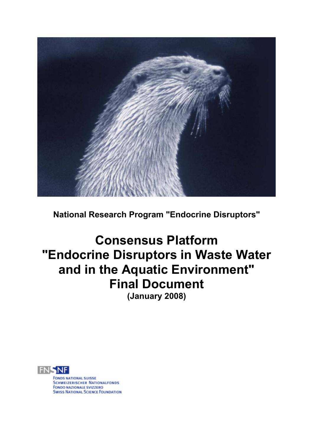

**National Research Program "Endocrine Disruptors"** 

# **Consensus Platform "Endocrine Disruptors in Waste Water and in the Aquatic Environment" Final Document (January 2008)**



**FONDS NATIONAL SUISSE SCHWEIZERISCHER NATIONALFONDS** i<br>Li **FONDO NAZIONALE SVIZZERO**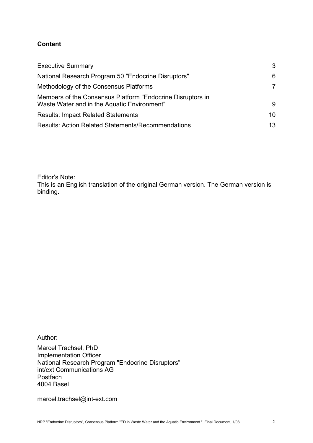#### **Content**

| <b>Executive Summary</b>                                                                                  | 3  |
|-----------------------------------------------------------------------------------------------------------|----|
| National Research Program 50 "Endocrine Disruptors"                                                       | 6  |
| Methodology of the Consensus Platforms                                                                    | 7  |
| Members of the Consensus Platform "Endocrine Disruptors in<br>Waste Water and in the Aquatic Environment" | 9  |
| <b>Results: Impact Related Statements</b>                                                                 | 10 |
| <b>Results: Action Related Statements/Recommendations</b>                                                 | 13 |

Editor's Note:

This is an English translation of the original German version. The German version is binding.

Author:

Marcel Trachsel, PhD Implementation Officer National Research Program "Endocrine Disruptors" int/ext Communications AG Postfach 4004 Basel

marcel.trachsel@int-ext.com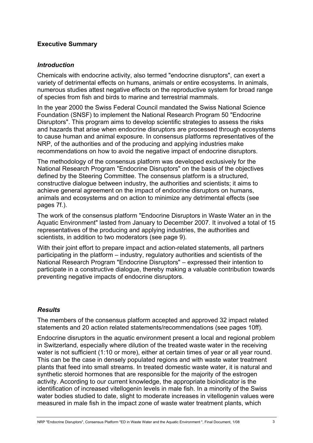#### **Executive Summary**

#### *Introduction*

Chemicals with endocrine activity, also termed "endocrine disruptors", can exert a variety of detrimental effects on humans, animals or entire ecosystems. In animals, numerous studies attest negative effects on the reproductive system for broad range of species from fish and birds to marine and terrestrial mammals.

In the year 2000 the Swiss Federal Council mandated the Swiss National Science Foundation (SNSF) to implement the National Research Program 50 "Endocrine Disruptors". This program aims to develop scientific strategies to assess the risks and hazards that arise when endocrine disruptors are processed through ecosystems to cause human and animal exposure. In consensus platforms representatives of the NRP, of the authorities and of the producing and applying industries make recommendations on how to avoid the negative impact of endocrine disruptors.

The methodology of the consensus platform was developed exclusively for the National Research Program "Endocrine Disruptors" on the basis of the objectives defined by the Steering Committee. The consensus platform is a structured, constructive dialogue between industry, the authorities and scientists; it aims to achieve general agreement on the impact of endocrine disruptors on humans, animals and ecosystems and on action to minimize any detrimental effects (see pages 7f.).

The work of the consensus platform "Endocrine Disruptors in Waste Water an in the Aquatic Environment" lasted from January to December 2007. It involved a total of 15 representatives of the producing and applying industries, the authorities and scientists, in addition to two moderators (see page 9).

With their joint effort to prepare impact and action-related statements, all partners participating in the platform – industry, regulatory authorities and scientists of the National Research Program "Endocrine Disruptors" – expressed their intention to participate in a constructive dialogue, thereby making a valuable contribution towards preventing negative impacts of endocrine disruptors.

## *Results*

The members of the consensus platform accepted and approved 32 impact related statements and 20 action related statements/recommendations (see pages 10ff).

Endocrine disruptors in the aquatic environment present a local and regional problem in Switzerland, especially where dilution of the treated waste water in the receiving water is not sufficient (1:10 or more), either at certain times of year or all year round. This can be the case in densely populated regions and with waste water treatment plants that feed into small streams. In treated domestic waste water, it is natural and synthetic steroid hormones that are responsible for the majority of the estrogen activity. According to our current knowledge, the appropriate bioindicator is the identification of increased vitellogenin levels in male fish. In a minority of the Swiss water bodies studied to date, slight to moderate increases in vitellogenin values were measured in male fish in the impact zone of waste water treatment plants, which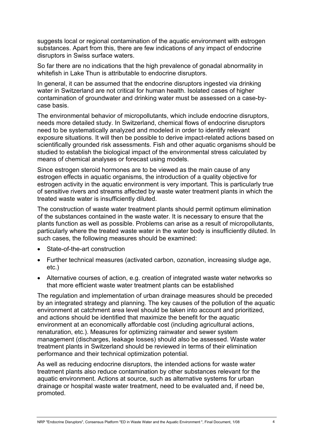suggests local or regional contamination of the aquatic environment with estrogen substances. Apart from this, there are few indications of any impact of endocrine disruptors in Swiss surface waters.

So far there are no indications that the high prevalence of gonadal abnormality in whitefish in Lake Thun is attributable to endocrine disruptors.

In general, it can be assumed that the endocrine disruptors ingested via drinking water in Switzerland are not critical for human health. Isolated cases of higher contamination of groundwater and drinking water must be assessed on a case-bycase basis.

The environmental behavior of micropollutants, which include endocrine disruptors, needs more detailed study. In Switzerland, chemical flows of endocrine disruptors need to be systematically analyzed and modeled in order to identify relevant exposure situations. It will then be possible to derive impact-related actions based on scientifically grounded risk assessments. Fish and other aquatic organisms should be studied to establish the biological impact of the environmental stress calculated by means of chemical analyses or forecast using models.

Since estrogen steroid hormones are to be viewed as the main cause of any estrogen effects in aquatic organisms, the introduction of a quality objective for estrogen activity in the aquatic environment is very important. This is particularly true of sensitive rivers and streams affected by waste water treatment plants in which the treated waste water is insufficiently diluted.

The construction of waste water treatment plants should permit optimum elimination of the substances contained in the waste water. It is necessary to ensure that the plants function as well as possible. Problems can arise as a result of micropollutants, particularly where the treated waste water in the water body is insufficiently diluted. In such cases, the following measures should be examined:

- State-of-the-art construction
- Further technical measures (activated carbon, ozonation, increasing sludge age, etc.)
- Alternative courses of action, e.g. creation of integrated waste water networks so that more efficient waste water treatment plants can be established

The regulation and implementation of urban drainage measures should be preceded by an integrated strategy and planning. The key causes of the pollution of the aquatic environment at catchment area level should be taken into account and prioritized, and actions should be identified that maximize the benefit for the aquatic environment at an economically affordable cost (including agricultural actions, renaturation, etc.). Measures for optimizing rainwater and sewer system management (discharges, leakage losses) should also be assessed. Waste water treatment plants in Switzerland should be reviewed in terms of their elimination performance and their technical optimization potential.

As well as reducing endocrine disruptors, the intended actions for waste water treatment plants also reduce contamination by other substances relevant for the aquatic environment. Actions at source, such as alternative systems for urban drainage or hospital waste water treatment, need to be evaluated and, if need be, promoted.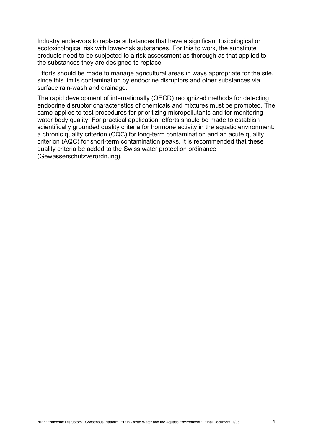Industry endeavors to replace substances that have a significant toxicological or ecotoxicological risk with lower-risk substances. For this to work, the substitute products need to be subjected to a risk assessment as thorough as that applied to the substances they are designed to replace.

Efforts should be made to manage agricultural areas in ways appropriate for the site, since this limits contamination by endocrine disruptors and other substances via surface rain-wash and drainage.

The rapid development of internationally (OECD) recognized methods for detecting endocrine disruptor characteristics of chemicals and mixtures must be promoted. The same applies to test procedures for prioritizing micropollutants and for monitoring water body quality. For practical application, efforts should be made to establish scientifically grounded quality criteria for hormone activity in the aquatic environment: a chronic quality criterion (CQC) for long-term contamination and an acute quality criterion (AQC) for short-term contamination peaks. It is recommended that these quality criteria be added to the Swiss water protection ordinance (Gewässerschutzverordnung).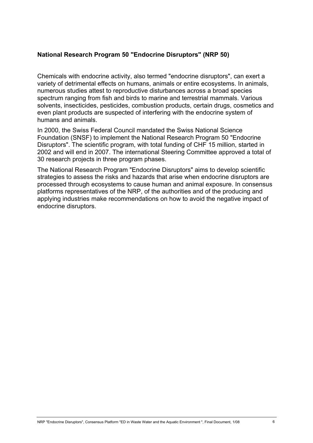#### **National Research Program 50 "Endocrine Disruptors" (NRP 50)**

Chemicals with endocrine activity, also termed "endocrine disruptors", can exert a variety of detrimental effects on humans, animals or entire ecosystems. In animals, numerous studies attest to reproductive disturbances across a broad species spectrum ranging from fish and birds to marine and terrestrial mammals. Various solvents, insecticides, pesticides, combustion products, certain drugs, cosmetics and even plant products are suspected of interfering with the endocrine system of humans and animals.

In 2000, the Swiss Federal Council mandated the Swiss National Science Foundation (SNSF) to implement the National Research Program 50 "Endocrine Disruptors". The scientific program, with total funding of CHF 15 million, started in 2002 and will end in 2007. The international Steering Committee approved a total of 30 research projects in three program phases.

The National Research Program "Endocrine Disruptors" aims to develop scientific strategies to assess the risks and hazards that arise when endocrine disruptors are processed through ecosystems to cause human and animal exposure. In consensus platforms representatives of the NRP, of the authorities and of the producing and applying industries make recommendations on how to avoid the negative impact of endocrine disruptors.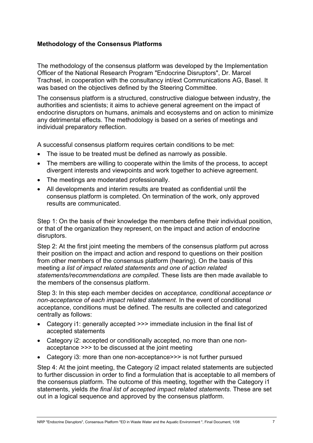## **Methodology of the Consensus Platforms**

The methodology of the consensus platform was developed by the Implementation Officer of the National Research Program "Endocrine Disruptors", Dr. Marcel Trachsel, in cooperation with the consultancy int/ext Communications AG, Basel. It was based on the objectives defined by the Steering Committee.

The consensus platform is a structured, constructive dialogue between industry, the authorities and scientists; it aims to achieve general agreement on the impact of endocrine disruptors on humans, animals and ecosystems and on action to minimize any detrimental effects. The methodology is based on a series of meetings and individual preparatory reflection.

A successful consensus platform requires certain conditions to be met:

- The issue to be treated must be defined as narrowly as possible.
- The members are willing to cooperate within the limits of the process, to accept divergent interests and viewpoints and work together to achieve agreement.
- The meetings are moderated professionally.
- All developments and interim results are treated as confidential until the consensus platform is completed. On termination of the work, only approved results are communicated.

Step 1: On the basis of their knowledge the members define their individual position, or that of the organization they represent, on the impact and action of endocrine disruptors.

Step 2: At the first joint meeting the members of the consensus platform put across their position on the impact and action and respond to questions on their position from other members of the consensus platform (hearing). On the basis of this meeting *a list of impact related statements and one of action related statements/recommendations are compiled*. These lists are then made available to the members of the consensus platform.

Step 3: In this step each member decides on *acceptance, conditional acceptance or non-acceptance of each impact related statement*. In the event of conditional acceptance, conditions must be defined. The results are collected and categorized centrally as follows:

- Category i1: generally accepted >>> immediate inclusion in the final list of accepted statements
- Category i2: accepted or conditionally accepted, no more than one nonacceptance >>> to be discussed at the joint meeting
- Category i3: more than one non-acceptance>>> is not further pursued

Step 4: At the joint meeting, the Category i2 impact related statements are subjected to further discussion in order to find a formulation that is acceptable to all members of the consensus platform. The outcome of this meeting, together with the Category i1 statements, yields *the final list of accepted impact related statements*. These are set out in a logical sequence and approved by the consensus platform.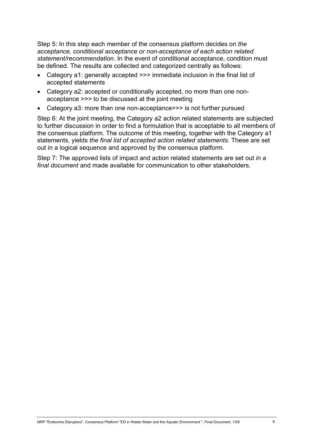Step 5: In this step each member of the consensus platform decides on *the acceptance, conditional acceptance or non-acceptance of each action related statement/recommendation*. In the event of conditional acceptance, condition must be defined. The results are collected and categorized centrally as follows:

- Category a1: generally accepted >>> immediate inclusion in the final list of accepted statements
- Category a2: accepted or conditionally accepted, no more than one nonacceptance >>> to be discussed at the joint meeting
- Category a3: more than one non-acceptance>>> is not further pursued

Step 6: At the joint meeting, the Category a2 action related statements are subjected to further discussion in order to find a formulation that is acceptable to all members of the consensus platform. The outcome of this meeting, together with the Category a1 statements, yields *the final list of accepted action related statements*. These are set out in a logical sequence and approved by the consensus platform.

Step 7: The approved lists of impact and action related statements are set out *in a final document* and made available for communication to other stakeholders.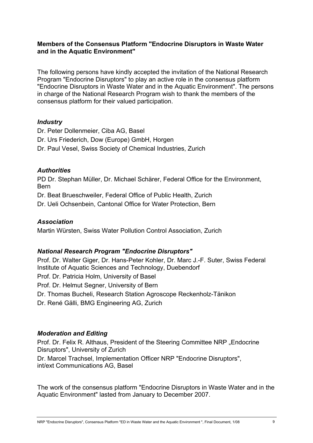#### **Members of the Consensus Platform "Endocrine Disruptors in Waste Water and in the Aquatic Environment"**

The following persons have kindly accepted the invitation of the National Research Program "Endocrine Disruptors" to play an active role in the consensus platform "Endocrine Disruptors in Waste Water and in the Aquatic Environment". The persons in charge of the National Research Program wish to thank the members of the consensus platform for their valued participation.

## *Industry*

Dr. Peter Dollenmeier, Ciba AG, Basel Dr. Urs Friederich, Dow (Europe) GmbH, Horgen Dr. Paul Vesel, Swiss Society of Chemical Industries, Zurich

# *Authorities*

PD Dr. Stephan Müller, Dr. Michael Schärer, Federal Office for the Environment, Bern

Dr. Beat Brueschweiler, Federal Office of Public Health, Zurich

Dr. Ueli Ochsenbein, Cantonal Office for Water Protection, Bern

# *Association*

Martin Würsten, Swiss Water Pollution Control Association, Zurich

# *National Research Program "Endocrine Disruptors"*

Prof. Dr. Walter Giger, Dr. Hans-Peter Kohler, Dr. Marc J.-F. Suter, Swiss Federal Institute of Aquatic Sciences and Technology, Duebendorf Prof. Dr. Patricia Holm, University of Basel Prof. Dr. Helmut Segner, University of Bern Dr. Thomas Bucheli, Research Station Agroscope Reckenholz-Tänikon Dr. René Gälli, BMG Engineering AG, Zurich

# *Moderation and Editing*

Prof. Dr. Felix R. Althaus, President of the Steering Committee NRP "Endocrine Disruptors", University of Zurich Dr. Marcel Trachsel, Implementation Officer NRP "Endocrine Disruptors", int/ext Communications AG, Basel

The work of the consensus platform "Endocrine Disruptors in Waste Water and in the Aquatic Environment" lasted from January to December 2007.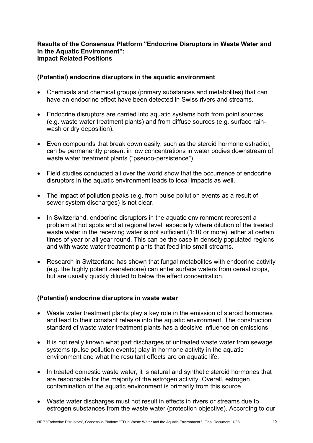#### **Results of the Consensus Platform "Endocrine Disruptors in Waste Water and in the Aquatic Environment": Impact Related Positions**

#### **(Potential) endocrine disruptors in the aquatic environment**

- Chemicals and chemical groups (primary substances and metabolites) that can have an endocrine effect have been detected in Swiss rivers and streams.
- Endocrine disruptors are carried into aquatic systems both from point sources (e.g. waste water treatment plants) and from diffuse sources (e.g. surface rainwash or dry deposition).
- Even compounds that break down easily, such as the steroid hormone estradiol, can be permanently present in low concentrations in water bodies downstream of waste water treatment plants ("pseudo-persistence").
- Field studies conducted all over the world show that the occurrence of endocrine disruptors in the aquatic environment leads to local impacts as well.
- The impact of pollution peaks (e.g. from pulse pollution events as a result of sewer system discharges) is not clear.
- In Switzerland, endocrine disruptors in the aquatic environment represent a problem at hot spots and at regional level, especially where dilution of the treated waste water in the receiving water is not sufficient (1:10 or more), either at certain times of year or all year round. This can be the case in densely populated regions and with waste water treatment plants that feed into small streams.
- Research in Switzerland has shown that fungal metabolites with endocrine activity (e.g. the highly potent zearalenone) can enter surface waters from cereal crops, but are usually quickly diluted to below the effect concentration.

## **(Potential) endocrine disruptors in waste water**

- Waste water treatment plants play a key role in the emission of steroid hormones and lead to their constant release into the aquatic environment. The construction standard of waste water treatment plants has a decisive influence on emissions.
- It is not really known what part discharges of untreated waste water from sewage systems (pulse pollution events) play in hormone activity in the aquatic environment and what the resultant effects are on aquatic life.
- In treated domestic waste water, it is natural and synthetic steroid hormones that are responsible for the majority of the estrogen activity. Overall, estrogen contamination of the aquatic environment is primarily from this source.
- Waste water discharges must not result in effects in rivers or streams due to estrogen substances from the waste water (protection objective). According to our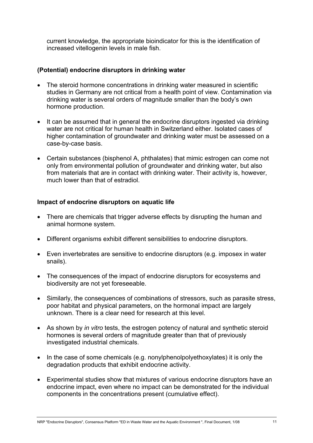current knowledge, the appropriate bioindicator for this is the identification of increased vitellogenin levels in male fish.

#### **(Potential) endocrine disruptors in drinking water**

- The steroid hormone concentrations in drinking water measured in scientific studies in Germany are not critical from a health point of view. Contamination via drinking water is several orders of magnitude smaller than the body's own hormone production.
- It can be assumed that in general the endocrine disruptors ingested via drinking water are not critical for human health in Switzerland either. Isolated cases of higher contamination of groundwater and drinking water must be assessed on a case-by-case basis.
- Certain substances (bisphenol A, phthalates) that mimic estrogen can come not only from environmental pollution of groundwater and drinking water, but also from materials that are in contact with drinking water. Their activity is, however, much lower than that of estradiol.

#### **Impact of endocrine disruptors on aquatic life**

- There are chemicals that trigger adverse effects by disrupting the human and animal hormone system.
- Different organisms exhibit different sensibilities to endocrine disruptors.
- Even invertebrates are sensitive to endocrine disruptors (e.g. imposex in water snails).
- The consequences of the impact of endocrine disruptors for ecosystems and biodiversity are not yet foreseeable.
- Similarly, the consequences of combinations of stressors, such as parasite stress, poor habitat and physical parameters, on the hormonal impact are largely unknown. There is a clear need for research at this level.
- As shown by *in vitro* tests, the estrogen potency of natural and synthetic steroid hormones is several orders of magnitude greater than that of previously investigated industrial chemicals.
- In the case of some chemicals (e.g. nonylphenolpolyethoxylates) it is only the degradation products that exhibit endocrine activity.
- Experimental studies show that mixtures of various endocrine disruptors have an endocrine impact, even where no impact can be demonstrated for the individual components in the concentrations present (cumulative effect).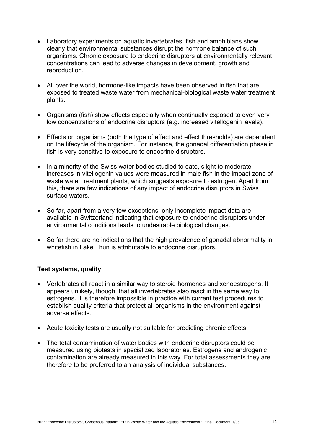- Laboratory experiments on aquatic invertebrates, fish and amphibians show clearly that environmental substances disrupt the hormone balance of such organisms. Chronic exposure to endocrine disruptors at environmentally relevant concentrations can lead to adverse changes in development, growth and reproduction.
- All over the world, hormone-like impacts have been observed in fish that are exposed to treated waste water from mechanical-biological waste water treatment plants.
- Organisms (fish) show effects especially when continually exposed to even very low concentrations of endocrine disruptors (e.g. increased vitellogenin levels).
- Effects on organisms (both the type of effect and effect thresholds) are dependent on the lifecycle of the organism. For instance, the gonadal differentiation phase in fish is very sensitive to exposure to endocrine disruptors.
- In a minority of the Swiss water bodies studied to date, slight to moderate increases in vitellogenin values were measured in male fish in the impact zone of waste water treatment plants, which suggests exposure to estrogen. Apart from this, there are few indications of any impact of endocrine disruptors in Swiss surface waters.
- So far, apart from a very few exceptions, only incomplete impact data are available in Switzerland indicating that exposure to endocrine disruptors under environmental conditions leads to undesirable biological changes.
- So far there are no indications that the high prevalence of gonadal abnormality in whitefish in Lake Thun is attributable to endocrine disruptors.

## **Test systems, quality**

- Vertebrates all react in a similar way to steroid hormones and xenoestrogens. It appears unlikely, though, that all invertebrates also react in the same way to estrogens. It is therefore impossible in practice with current test procedures to establish quality criteria that protect all organisms in the environment against adverse effects.
- Acute toxicity tests are usually not suitable for predicting chronic effects.
- The total contamination of water bodies with endocrine disruptors could be measured using biotests in specialized laboratories. Estrogens and androgenic contamination are already measured in this way. For total assessments they are therefore to be preferred to an analysis of individual substances.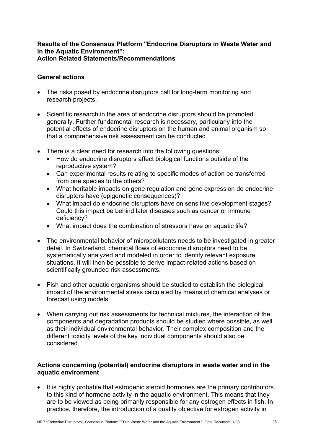#### **Results of the Consensus Platform "Endocrine Disruptors in Waste Water and in the Aquatic Environment": Action Related Statements/Recommendations**

#### **General actions**

- The risks posed by endocrine disruptors call for long-term monitoring and research projects.
- Scientific research in the area of endocrine disruptors should be promoted generally. Further fundamental research is necessary, particularly into the potential effects of endocrine disruptors on the human and animal organism so that a comprehensive risk assessment can be conducted.
- There is a clear need for research into the following questions:
	- How do endocrine disruptors affect biological functions outside of the reproductive system?
	- Can experimental results relating to specific modes of action be transferred from one species to the others?
	- What heritable impacts on gene regulation and gene expression do endocrine disruptors have (epigenetic consequences)?
	- What impact do endocrine disruptors have on sensitive development stages? Could this impact be behind later diseases such as cancer or immune deficiency?
	- What impact does the combination of stressors have on aquatic life?
- The environmental behavior of micropollutants needs to be investigated in greater detail. In Switzerland, chemical flows of endocrine disruptors need to be systematically analyzed and modeled in order to identify relevant exposure situations. It will then be possible to derive impact-related actions based on scientifically grounded risk assessments.
- Fish and other aquatic organisms should be studied to establish the biological impact of the environmental stress calculated by means of chemical analyses or forecast using models.
- When carrying out risk assessments for technical mixtures, the interaction of the components and degradation products should be studied where possible, as well as their individual environmental behavior. Their complex composition and the different toxicity levels of the key individual components should also be considered.

#### **Actions concerning (potential) endocrine disruptors in waste water and in the aquatic environment**

• It is highly probable that estrogenic steroid hormones are the primary contributors to this kind of hormone activity in the aquatic environment. This means that they are to be viewed as being primarily responsible for any estrogen effects in fish. In practice, therefore, the introduction of a quality objective for estrogen activity in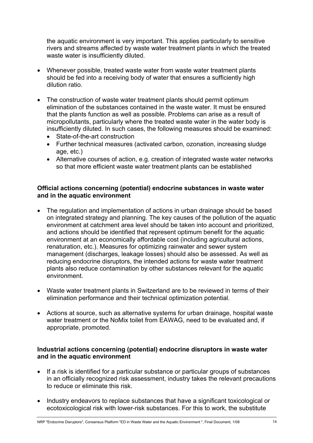the aquatic environment is very important. This applies particularly to sensitive rivers and streams affected by waste water treatment plants in which the treated waste water is insufficiently diluted.

- Whenever possible, treated waste water from waste water treatment plants should be fed into a receiving body of water that ensures a sufficiently high dilution ratio.
- The construction of waste water treatment plants should permit optimum elimination of the substances contained in the waste water. It must be ensured that the plants function as well as possible. Problems can arise as a result of micropollutants, particularly where the treated waste water in the water body is insufficiently diluted. In such cases, the following measures should be examined:
	- State-of-the-art construction
	- Further technical measures (activated carbon, ozonation, increasing sludge age, etc.)
	- Alternative courses of action, e.g. creation of integrated waste water networks so that more efficient waste water treatment plants can be established

#### **Official actions concerning (potential) endocrine substances in waste water and in the aquatic environment**

- The regulation and implementation of actions in urban drainage should be based on integrated strategy and planning. The key causes of the pollution of the aquatic environment at catchment area level should be taken into account and prioritized, and actions should be identified that represent optimum benefit for the aquatic environment at an economically affordable cost (including agricultural actions, renaturation, etc.). Measures for optimizing rainwater and sewer system management (discharges, leakage losses) should also be assessed. As well as reducing endocrine disruptors, the intended actions for waste water treatment plants also reduce contamination by other substances relevant for the aquatic environment.
- Waste water treatment plants in Switzerland are to be reviewed in terms of their elimination performance and their technical optimization potential.
- Actions at source, such as alternative systems for urban drainage, hospital waste water treatment or the NoMix toilet from EAWAG, need to be evaluated and, if appropriate, promoted.

#### **Industrial actions concerning (potential) endocrine disruptors in waste water and in the aquatic environment**

- If a risk is identified for a particular substance or particular groups of substances in an officially recognized risk assessment, industry takes the relevant precautions to reduce or eliminate this risk.
- Industry endeavors to replace substances that have a significant toxicological or ecotoxicological risk with lower-risk substances. For this to work, the substitute